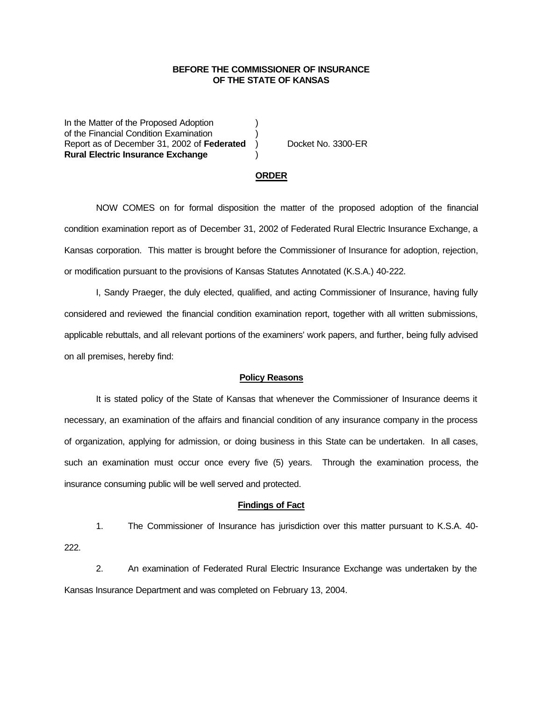## **BEFORE THE COMMISSIONER OF INSURANCE OF THE STATE OF KANSAS**

In the Matter of the Proposed Adoption of the Financial Condition Examination ) Report as of December 31, 2002 of Federated ) Docket No. 3300-ER **Rural Electric Insurance Exchange** )

#### **ORDER**

NOW COMES on for formal disposition the matter of the proposed adoption of the financial condition examination report as of December 31, 2002 of Federated Rural Electric Insurance Exchange, a Kansas corporation. This matter is brought before the Commissioner of Insurance for adoption, rejection, or modification pursuant to the provisions of Kansas Statutes Annotated (K.S.A.) 40-222.

I, Sandy Praeger, the duly elected, qualified, and acting Commissioner of Insurance, having fully considered and reviewed the financial condition examination report, together with all written submissions, applicable rebuttals, and all relevant portions of the examiners' work papers, and further, being fully advised on all premises, hereby find:

#### **Policy Reasons**

It is stated policy of the State of Kansas that whenever the Commissioner of Insurance deems it necessary, an examination of the affairs and financial condition of any insurance company in the process of organization, applying for admission, or doing business in this State can be undertaken. In all cases, such an examination must occur once every five (5) years. Through the examination process, the insurance consuming public will be well served and protected.

#### **Findings of Fact**

1. The Commissioner of Insurance has jurisdiction over this matter pursuant to K.S.A. 40- 222.

2. An examination of Federated Rural Electric Insurance Exchange was undertaken by the Kansas Insurance Department and was completed on February 13, 2004.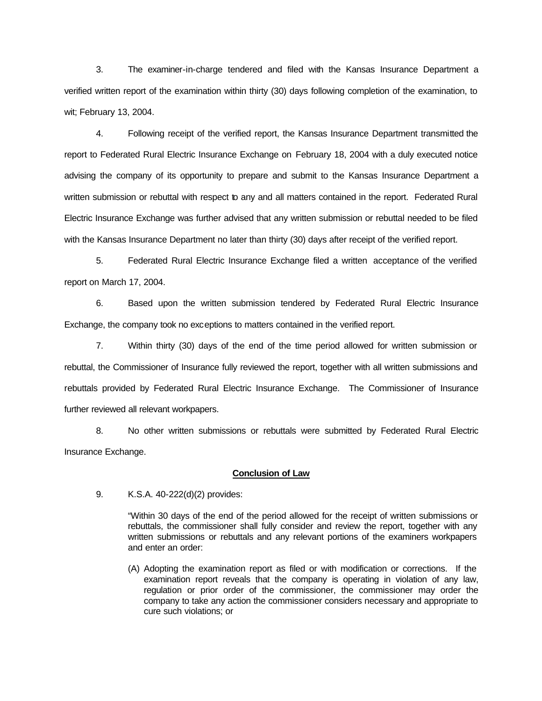3. The examiner-in-charge tendered and filed with the Kansas Insurance Department a verified written report of the examination within thirty (30) days following completion of the examination, to wit; February 13, 2004.

4. Following receipt of the verified report, the Kansas Insurance Department transmitted the report to Federated Rural Electric Insurance Exchange on February 18, 2004 with a duly executed notice advising the company of its opportunity to prepare and submit to the Kansas Insurance Department a written submission or rebuttal with respect to any and all matters contained in the report. Federated Rural Electric Insurance Exchange was further advised that any written submission or rebuttal needed to be filed with the Kansas Insurance Department no later than thirty (30) days after receipt of the verified report.

5. Federated Rural Electric Insurance Exchange filed a written acceptance of the verified report on March 17, 2004.

6. Based upon the written submission tendered by Federated Rural Electric Insurance Exchange, the company took no exceptions to matters contained in the verified report.

7. Within thirty (30) days of the end of the time period allowed for written submission or rebuttal, the Commissioner of Insurance fully reviewed the report, together with all written submissions and rebuttals provided by Federated Rural Electric Insurance Exchange. The Commissioner of Insurance further reviewed all relevant workpapers.

8. No other written submissions or rebuttals were submitted by Federated Rural Electric Insurance Exchange.

### **Conclusion of Law**

9. K.S.A. 40-222(d)(2) provides:

"Within 30 days of the end of the period allowed for the receipt of written submissions or rebuttals, the commissioner shall fully consider and review the report, together with any written submissions or rebuttals and any relevant portions of the examiners workpapers and enter an order:

(A) Adopting the examination report as filed or with modification or corrections. If the examination report reveals that the company is operating in violation of any law, regulation or prior order of the commissioner, the commissioner may order the company to take any action the commissioner considers necessary and appropriate to cure such violations; or